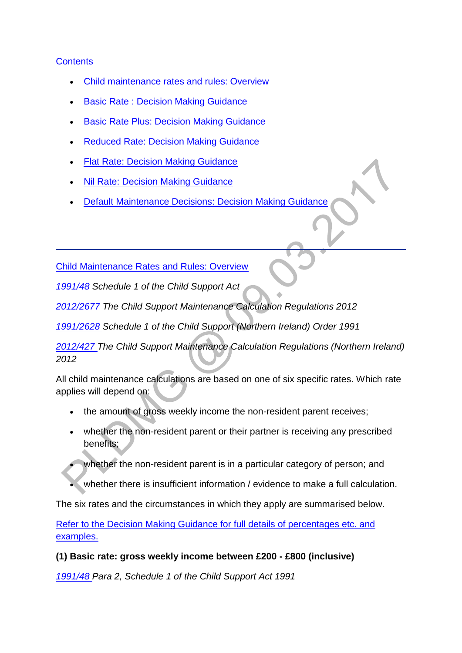## **[Contents](http://np-cmg-sharepoint.link2.gpn.gov.uk/sites/policy-law-and-decision-making-guidance/Pages/Calculations/General/Rates-and-Rules.aspx)**

- [Child maintenance rates and rules: Overview](http://np-cmg-sharepoint.link2.gpn.gov.uk/sites/policy-law-and-decision-making-guidance/Pages/Calculations/General/Rates-and-Rules.aspx#CMratesandrulesoverview)
- [Basic Rate : Decision Making Guidance](http://np-cmg-sharepoint.link2.gpn.gov.uk/sites/policy-law-and-decision-making-guidance/Pages/Calculations/General/Rates-and-Rules.aspx#basicrateDMG)
- [Basic Rate Plus: Decision Making Guidance](http://np-cmg-sharepoint.link2.gpn.gov.uk/sites/policy-law-and-decision-making-guidance/Pages/Calculations/General/Rates-and-Rules.aspx#basicrateplusDMG)
- [Reduced Rate: Decision Making Guidance](http://np-cmg-sharepoint.link2.gpn.gov.uk/sites/policy-law-and-decision-making-guidance/Pages/Calculations/General/Rates-and-Rules.aspx#reducedrateDMG)
- **[Flat Rate: Decision Making Guidance](http://np-cmg-sharepoint.link2.gpn.gov.uk/sites/policy-law-and-decision-making-guidance/Pages/Calculations/General/Rates-and-Rules.aspx#FlatrateDMG)**
- [Nil Rate: Decision Making Guidance](http://np-cmg-sharepoint.link2.gpn.gov.uk/sites/policy-law-and-decision-making-guidance/Pages/Calculations/General/Rates-and-Rules.aspx#nilrateDMG)
- [Default Maintenance Decisions: Decision Making Guidance](http://np-cmg-sharepoint.link2.gpn.gov.uk/sites/policy-law-and-decision-making-guidance/Pages/Calculations/General/Rates-and-Rules.aspx#DMDDMG)

[Child Maintenance Rates and Rules: Overview](http://np-cmg-sharepoint.link2.gpn.gov.uk/sites/policy-law-and-decision-making-guidance/Pages/Calculations/General/Rates-and-Rules.aspx)

*[1991/48 S](http://www.legislation.gov.uk/ukpga/1991/48)chedule 1 of the Child Support Act*

*[2012/2677 T](http://www.legislation.gov.uk/uksi/2012/2677)he Child Support Maintenance Calculation Regulations 2012*

*[1991/2628 S](http://www.legislation.gov.uk/nisi/1991/2628/contents)chedule 1 of the Child Support (Northern Ireland) Order 1991* 

*[2012/427 T](http://www.legislation.gov.uk/nisr/2012/427/contents/made)he Child Support Maintenance Calculation Regulations (Northern Ireland) 2012*

All child maintenance calculations are based on one of six specific rates. Which rate applies will depend on:

- the amount of gross weekly income the non-resident parent receives;
- whether the non-resident parent or their partner is receiving any prescribed benefits;
- whether the non-resident parent is in a particular category of person; and
- whether there is insufficient information / evidence to make a full calculation.

The six rates and the circumstances in which they apply are summarised below.

[Refer to the Decision Making Guidance for full details of percentages etc. and](http://np-cmg-sharepoint.link2.gpn.gov.uk/sites/policy-law-and-decision-making-guidance/Pages/Calculations/General/Rates-and-Rules.aspx#OverviewContents)  [examples.](http://np-cmg-sharepoint.link2.gpn.gov.uk/sites/policy-law-and-decision-making-guidance/Pages/Calculations/General/Rates-and-Rules.aspx#OverviewContents)

### **(1) Basic rate: gross weekly income between £200 - £800 (inclusive)**

*[1991/48 P](http://www.legislation.gov.uk/ukpga/1991/48)ara 2, Schedule 1 of the Child Support Act 1991*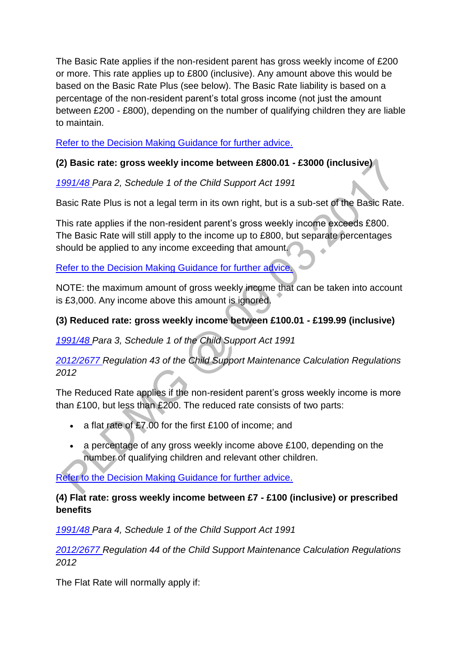The Basic Rate applies if the non-resident parent has gross weekly income of £200 or more. This rate applies up to £800 (inclusive). Any amount above this would be based on the Basic Rate Plus (see below). The Basic Rate liability is based on a percentage of the non-resident parent's total gross income (not just the amount between £200 - £800), depending on the number of qualifying children they are liable to maintain.

[Refer to the Decision Making Guidance for further advice.](http://np-cmg-sharepoint.link2.gpn.gov.uk/sites/policy-law-and-decision-making-guidance/Pages/Calculations/General/Rates-and-Rules.aspx#basicrateDMG)

## **(2) Basic rate: gross weekly income between £800.01 - £3000 (inclusive)**

*[1991/48 P](http://www.legislation.gov.uk/ukpga/1991/48)ara 2, Schedule 1 of the Child Support Act 1991* 

Basic Rate Plus is not a legal term in its own right, but is a sub-set of the Basic Rate.

This rate applies if the non-resident parent's gross weekly income exceeds £800. The Basic Rate will still apply to the income up to £800, but separate percentages should be applied to any income exceeding that amount.

[Refer to the Decision Making Guidance for further advice.](http://np-cmg-sharepoint.link2.gpn.gov.uk/sites/policy-law-and-decision-making-guidance/Pages/Calculations/General/Rates-and-Rules.aspx#basicrateplusDMG)

NOTE: the maximum amount of gross weekly income that can be taken into account is £3,000. Any income above this amount is ignored.

## **(3) Reduced rate: gross weekly income between £100.01 - £199.99 (inclusive)**

*[1991/48 P](http://www.legislation.gov.uk/ukpga/1991/48)ara 3, Schedule 1 of the Child Support Act 1991*

*[2012/2677 R](http://www.legislation.gov.uk/uksi/2012/2677)egulation 43 of the Child Support Maintenance Calculation Regulations 2012* 

The Reduced Rate applies if the non-resident parent's gross weekly income is more than £100, but less than £200. The reduced rate consists of two parts:

- a flat rate of £7.00 for the first £100 of income; and
- a percentage of any gross weekly income above £100, depending on the number of qualifying children and relevant other children.

[Refer to the Decision Making Guidance for further advice.](http://np-cmg-sharepoint.link2.gpn.gov.uk/sites/policy-law-and-decision-making-guidance/Pages/Calculations/General/Rates-and-Rules.aspx#reducedrateDMG)

## **(4) Flat rate: gross weekly income between £7 - £100 (inclusive) or prescribed benefits**

*[1991/48 P](http://www.legislation.gov.uk/ukpga/1991/48)ara 4, Schedule 1 of the Child Support Act 1991*

*[2012/2677 R](http://www.legislation.gov.uk/uksi/2012/2677)egulation 44 of the Child Support Maintenance Calculation Regulations 2012*

The Flat Rate will normally apply if: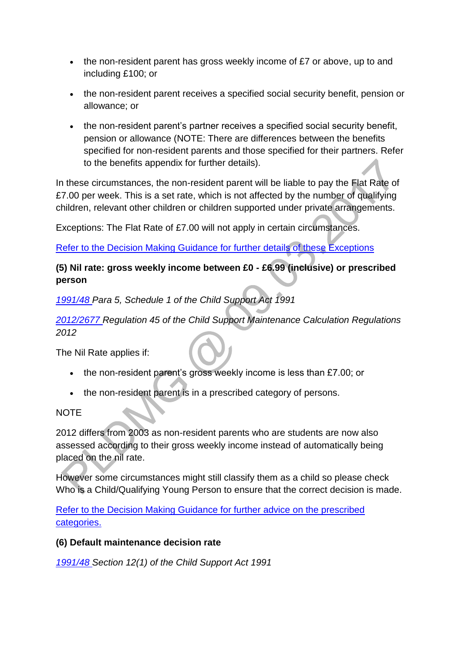- $\bullet$  the non-resident parent has gross weekly income of £7 or above, up to and including £100; or
- the non-resident parent receives a specified social security benefit, pension or allowance; or
- the non-resident parent's partner receives a specified social security benefit, pension or allowance (NOTE: There are differences between the benefits specified for non-resident parents and those specified for their partners. Refer to the benefits appendix for further details).

In these circumstances, the non-resident parent will be liable to pay the Flat Rate of £7.00 per week. This is a set rate, which is not affected by the number of qualifying children, relevant other children or children supported under private arrangements.

Exceptions: The Flat Rate of £7.00 will not apply in certain circumstances.

[Refer to the Decision Making Guidance for further details of these Exceptions](http://np-cmg-sharepoint.link2.gpn.gov.uk/sites/policy-law-and-decision-making-guidance/Pages/Calculations/General/Rates-and-Rules.aspx#FlatrateDMG)

# **(5) Nil rate: gross weekly income between £0 - £6.99 (inclusive) or prescribed person**

*[1991/48 P](http://www.legislation.gov.uk/ukpga/1991/48)ara 5, Schedule 1 of the Child Support Act 1991*

*[2012/2677 R](http://www.legislation.gov.uk/uksi/2012/2677)egulation 45 of the Child Support Maintenance Calculation Regulations 2012* 

The Nil Rate applies if:

- the non-resident parent's gross weekly income is less than £7.00; or
- the non-resident parent is in a prescribed category of persons.

## NOTE

2012 differs from 2003 as non-resident parents who are students are now also assessed according to their gross weekly income instead of automatically being placed on the nil rate.

However some circumstances might still classify them as a child so please check Who is a Child/Qualifying Young Person to ensure that the correct decision is made.

Refer [to the Decision Making Guidance for further advice on the prescribed](http://np-cmg-sharepoint.link2.gpn.gov.uk/sites/policy-law-and-decision-making-guidance/Pages/Calculations/General/Rates-and-Rules.aspx#nilrateDMG)  [categories.](http://np-cmg-sharepoint.link2.gpn.gov.uk/sites/policy-law-and-decision-making-guidance/Pages/Calculations/General/Rates-and-Rules.aspx#nilrateDMG)

## **(6) Default maintenance decision rate**

*[1991/48 S](http://www.legislation.gov.uk/ukpga/1991/48)ection 12(1) of the Child Support Act 1991*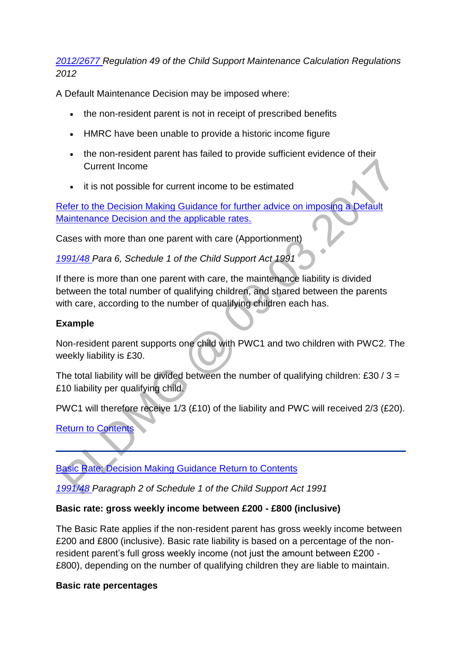*[2012/2677 R](http://www.legislation.gov.uk/uksi/2012/2677)egulation 49 of the Child Support Maintenance Calculation Regulations 2012* 

A Default Maintenance Decision may be imposed where:

- the non-resident parent is not in receipt of prescribed benefits
- HMRC have been unable to provide a historic income figure
- the non-resident parent has failed to provide sufficient evidence of their Current Income
- it is not possible for current income to be estimated

[Refer to the Decision Making Guidance for further advice on imposing a Default](http://np-cmg-sharepoint.link2.gpn.gov.uk/sites/policy-law-and-decision-making-guidance/Pages/Calculations/General/Rates-and-Rules.aspx#DMDDMG)  [Maintenance Decision and the applicable rates.](http://np-cmg-sharepoint.link2.gpn.gov.uk/sites/policy-law-and-decision-making-guidance/Pages/Calculations/General/Rates-and-Rules.aspx#DMDDMG)

Cases with more than one parent with care (Apportionment)

*[1991/48 P](http://www.legislation.gov.uk/ukpga/1991/48)ara 6, Schedule 1 of the Child Support Act 1991*

If there is more than one parent with care, the maintenance liability is divided between the total number of qualifying children, and shared between the parents with care, according to the number of qualifying children each has.

### **Example**

Non-resident parent supports one child with PWC1 and two children with PWC2. The weekly liability is £30.

The total liability will be divided between the number of qualifying children: £30 /  $3 =$ £10 liability per qualifying child.

PWC1 will therefore receive 1/3 (£10) of the liability and PWC will received 2/3 (£20).

[Return to Contents](http://np-cmg-sharepoint.link2.gpn.gov.uk/sites/policy-law-and-decision-making-guidance/Pages/Calculations/General/Rates-and-Rules.aspx#OverviewContents)

[Basic Rate: Decision Making Guidance Return to Contents](http://np-cmg-sharepoint.link2.gpn.gov.uk/sites/policy-law-and-decision-making-guidance/Pages/Calculations/General/Rates-and-Rules.aspx)

*[1991/48 P](http://www.legislation.gov.uk/ukpga/1991/48)aragraph 2 of Schedule 1 of the Child Support Act 1991*

### **Basic rate: gross weekly income between £200 - £800 (inclusive)**

The Basic Rate applies if the non-resident parent has gross weekly income between £200 and £800 (inclusive). Basic rate liability is based on a percentage of the nonresident parent's full gross weekly income (not just the amount between £200 - £800), depending on the number of qualifying children they are liable to maintain.

### **Basic rate percentages**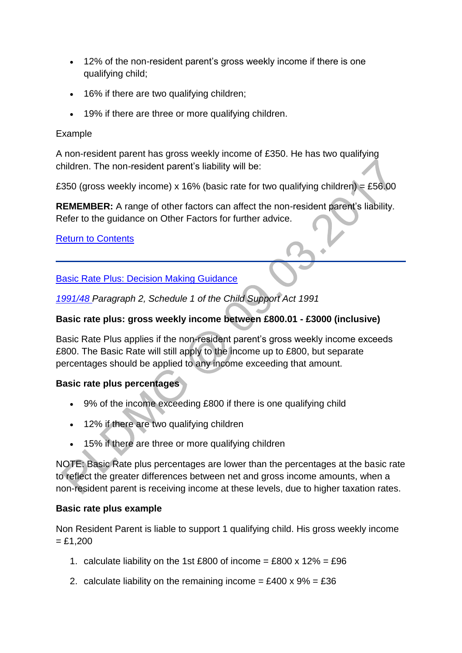- 12% of the non-resident parent's gross weekly income if there is one qualifying child;
- 16% if there are two qualifying children;
- 19% if there are three or more qualifying children.

### Example

A non-resident parent has gross weekly income of £350. He has two qualifying children. The non-resident parent's liability will be:

£350 (gross weekly income) x 16% (basic rate for two qualifying children) = £56.00

**REMEMBER:** A range of other factors can affect the non-resident parent's liability. Refer to the guidance on Other Factors for further advice.

[Return to Contents](http://np-cmg-sharepoint.link2.gpn.gov.uk/sites/policy-law-and-decision-making-guidance/Pages/Calculations/General/Rates-and-Rules.aspx#OverviewContents)

[Basic Rate Plus: Decision Making Guidance](http://np-cmg-sharepoint.link2.gpn.gov.uk/sites/policy-law-and-decision-making-guidance/Pages/Calculations/General/Rates-and-Rules.aspx) 

*[1991/48 P](http://www.legislation.gov.uk/ukpga/1991/48)aragraph 2, Schedule 1 of the Child Support Act 1991*

## **Basic rate plus: gross weekly income between £800.01 - £3000 (inclusive)**

Basic Rate Plus applies if the non-resident parent's gross weekly income exceeds £800. The Basic Rate will still apply to the income up to £800, but separate percentages should be applied to any income exceeding that amount.

## **Basic rate plus percentages**

- 9% of the income exceeding £800 if there is one qualifying child
- 12% if there are two qualifying children
- 15% if there are three or more qualifying children

NOTE: Basic Rate plus percentages are lower than the percentages at the basic rate to reflect the greater differences between net and gross income amounts, when a non-resident parent is receiving income at these levels, due to higher taxation rates.

### **Basic rate plus example**

Non Resident Parent is liable to support 1 qualifying child. His gross weekly income  $= £1,200$ 

- 1. calculate liability on the 1st £800 of income = £800 x  $12\%$  = £96
- 2. calculate liability on the remaining income =  $£400 \times 9\% = £36$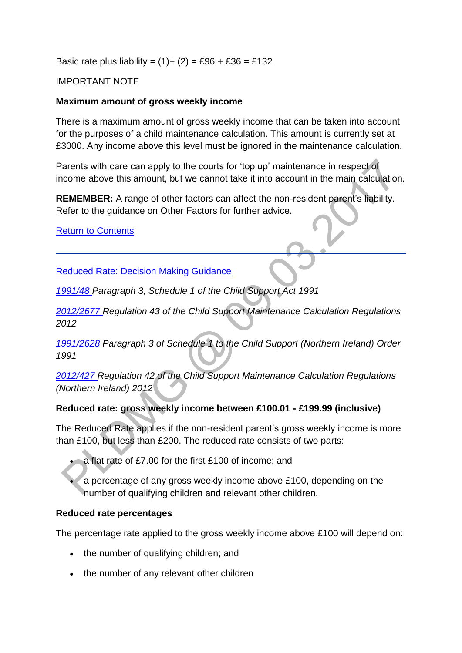Basic rate plus liability =  $(1) + (2) = £96 + £36 = £132$ 

### IMPORTANT NOTE

#### **Maximum amount of gross weekly income**

There is a maximum amount of gross weekly income that can be taken into account for the purposes of a child maintenance calculation. This amount is currently set at £3000. Any income above this level must be ignored in the maintenance calculation.

Parents with care can apply to the courts for 'top up' maintenance in respect of income above this amount, but we cannot take it into account in the main calculation.

**REMEMBER:** A range of other factors can affect the non-resident parent's liability. Refer to the guidance on Other Factors for further advice.

#### [Return to Contents](http://np-cmg-sharepoint.link2.gpn.gov.uk/sites/policy-law-and-decision-making-guidance/Pages/Calculations/General/Rates-and-Rules.aspx#OverviewContents)

[Reduced Rate: Decision Making Guidance](http://np-cmg-sharepoint.link2.gpn.gov.uk/sites/policy-law-and-decision-making-guidance/Pages/Calculations/General/Rates-and-Rules.aspx)

*[1991/48 P](http://www.legislation.gov.uk/ukpga/1991/48)aragraph 3, Schedule 1 of the Child Support Act 1991*

*[2012/2677 R](http://www.legislation.gov.uk/uksi/2012/2677)egulation 43 of the Child Support Maintenance Calculation Regulations 2012*

*[1991/2628 P](http://www.legislation.gov.uk/nisi/1991/2628/contents)aragraph 3 of Schedule 1 to the Child Support (Northern Ireland) Order 1991*

*[2012/427 R](http://www.legislation.gov.uk/nisr/2012/427/contents/made)egulation 42 of the Child Support Maintenance Calculation Regulations (Northern Ireland) 2012*

### **Reduced rate: gross weekly income between £100.01 - £199.99 (inclusive)**

The Reduced Rate applies if the non-resident parent's gross weekly income is more than £100, but less than £200. The reduced rate consists of two parts:

a flat rate of £7.00 for the first £100 of income; and

 a percentage of any gross weekly income above £100, depending on the number of qualifying children and relevant other children.

#### **Reduced rate percentages**

The percentage rate applied to the gross weekly income above £100 will depend on:

- the number of qualifying children; and
- the number of any relevant other children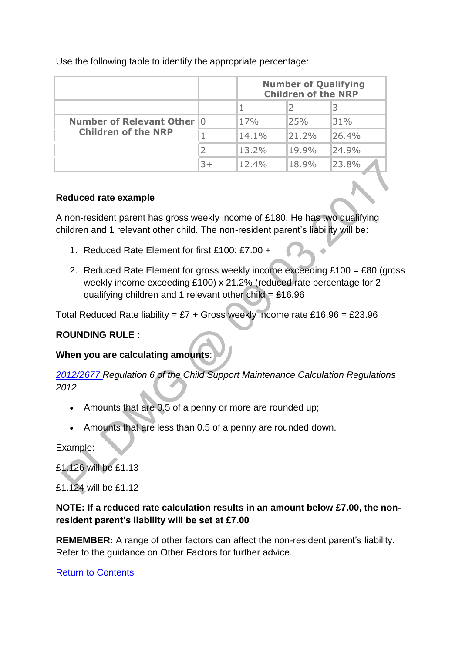|                                                                  |      | <b>Number of Qualifying</b><br><b>Children of the NRP</b> |          |       |
|------------------------------------------------------------------|------|-----------------------------------------------------------|----------|-------|
|                                                                  |      |                                                           |          |       |
| <b>Number of Relevant Other 10</b><br><b>Children of the NRP</b> |      | 17%                                                       | 25%      | 31%   |
|                                                                  |      | $14.1\%$                                                  | 21.2%    | 26.4% |
|                                                                  |      | $13.2\%$                                                  | $19.9\%$ | 24.9% |
|                                                                  | $3+$ | $12.4\%$                                                  | $18.9\%$ | 23.8% |

Use the following table to identify the appropriate percentage:

#### **Reduced rate example**

A non-resident parent has gross weekly income of £180. He has two qualifying children and 1 relevant other child. The non-resident parent's liability will be:

- 1. Reduced Rate Element for first £100: £7.00 +
- 2. Reduced Rate Element for gross weekly income exceeding £100 = £80 (gross weekly income exceeding £100) x 21.2% (reduced rate percentage for 2 qualifying children and 1 relevant other child =  $£16.96$

Total Reduced Rate liability = £7 + Gross weekly income rate £16.96 = £23.96

### **ROUNDING RULE :**

### **When you are calculating amounts**:

*[2012/2677 R](http://www.legislation.gov.uk/uksi/2012/2677)egulation 6 of the Child Support Maintenance Calculation Regulations 2012*

- Amounts that are 0.5 of a penny or more are rounded up;
- Amounts that are less than 0.5 of a penny are rounded down.

Example:

£1.126 will be £1.13

£1.124 will be £1.12

### **NOTE: If a reduced rate calculation results in an amount below £7.00, the nonresident parent's liability will be set at £7.00**

**REMEMBER:** A range of other factors can affect the non-resident parent's liability. Refer to the guidance on Other Factors for further advice.

[Return to Contents](http://np-cmg-sharepoint.link2.gpn.gov.uk/sites/policy-law-and-decision-making-guidance/Pages/Calculations/General/Rates-and-Rules.aspx#OverviewContents)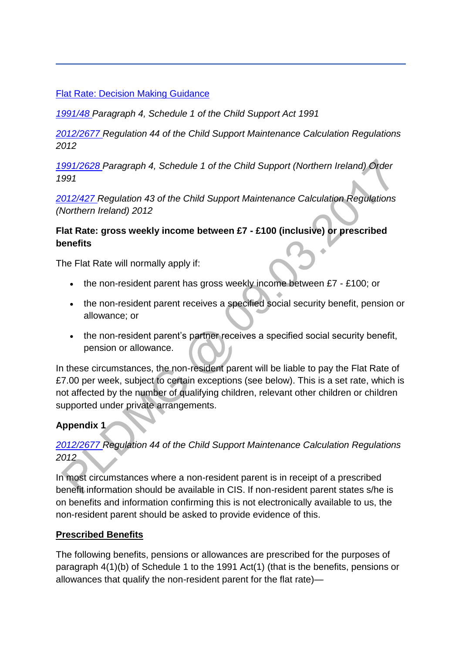### [Flat Rate: Decision Making Guidance](http://np-cmg-sharepoint.link2.gpn.gov.uk/sites/policy-law-and-decision-making-guidance/Pages/Calculations/General/Rates-and-Rules.aspx)

*[1991/48 P](http://www.legislation.gov.uk/ukpga/1991/48)aragraph 4, Schedule 1 of the Child Support Act 1991*

*[2012/2677 R](http://www.legislation.gov.uk/uksi/2012/2677)egulation 44 of the Child Support Maintenance Calculation Regulations 2012*

*[1991/2628 P](http://www.legislation.gov.uk/nisi/1991/2628/contents)aragraph 4, Schedule 1 of the Child Support (Northern Ireland) Order 1991*

*[2012/427 R](http://www.legislation.gov.uk/nisr/2012/427/contents/made)egulation 43 of the Child Support Maintenance Calculation Regulations (Northern Ireland) 2012*

### **Flat Rate: gross weekly income between £7 - £100 (inclusive) or prescribed benefits**

The Flat Rate will normally apply if:

- $\bullet$  the non-resident parent has gross weekly income between £7 £100; or
- the non-resident parent receives a specified social security benefit, pension or allowance; or
- the non-resident parent's partner receives a specified social security benefit, pension or allowance.

In these circumstances, the non-resident parent will be liable to pay the Flat Rate of £7.00 per week, subject to certain exceptions (see below). This is a set rate, which is not affected by the number of qualifying children, relevant other children or children supported under private arrangements.

## **Appendix 1**

# *[2012/2677 R](http://www.legislation.gov.uk/uksi/2012/2677)egulation 44 of the Child Support Maintenance Calculation Regulations 2012*

In most circumstances where a non-resident parent is in receipt of a prescribed benefit information should be available in CIS. If non-resident parent states s/he is on benefits and information confirming this is not electronically available to us, the non-resident parent should be asked to provide evidence of this.

### **Prescribed Benefits**

The following benefits, pensions or allowances are prescribed for the purposes of paragraph 4(1)(b) of Schedule 1 to the 1991 Act(1) (that is the benefits, pensions or allowances that qualify the non-resident parent for the flat rate)—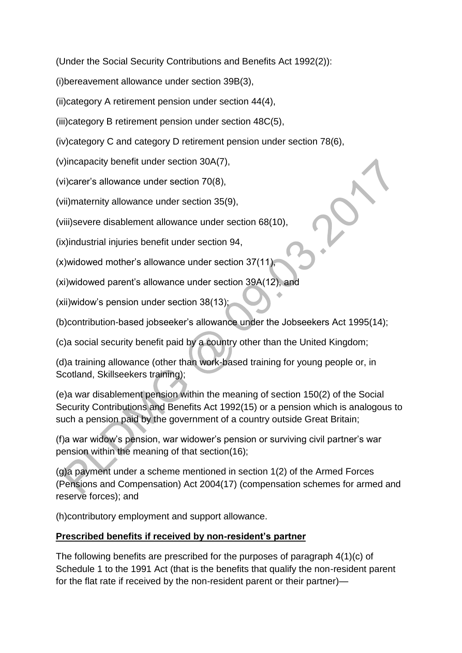(Under the Social Security Contributions and Benefits Act 1992(2)):

(i)bereavement allowance under section 39B(3),

(ii)category A retirement pension under section 44(4),

(iii)category B retirement pension under section 48C(5),

(iv)category C and category D retirement pension under section 78(6),

(v)incapacity benefit under section 30A(7),

(vi)carer's allowance under section 70(8),

(vii)maternity allowance under section 35(9),

(viii)severe disablement allowance under section 68(10),

(ix)industrial injuries benefit under section 94,

(x)widowed mother's allowance under section 37(11),

(xi)widowed parent's allowance under section 39A(12), and

(xii)widow's pension under section 38(13);

(b)contribution-based jobseeker's allowance under the Jobseekers Act 1995(14);

(c)a social security benefit paid by a country other than the United Kingdom;

(d)a training allowance (other than work-based training for young people or, in Scotland, Skillseekers training);

(e)a war disablement pension within the meaning of section 150(2) of the Social Security Contributions and Benefits Act 1992(15) or a pension which is analogous to such a pension paid by the government of a country outside Great Britain;

(f)a war widow's pension, war widower's pension or surviving civil partner's war pension within the meaning of that section(16);

(g)a payment under a scheme mentioned in section 1(2) of the Armed Forces (Pensions and Compensation) Act 2004(17) (compensation schemes for armed and reserve forces); and

(h)contributory employment and support allowance.

## **Prescribed benefits if received by non-resident's partner**

The following benefits are prescribed for the purposes of paragraph 4(1)(c) of Schedule 1 to the 1991 Act (that is the benefits that qualify the non-resident parent for the flat rate if received by the non-resident parent or their partner)—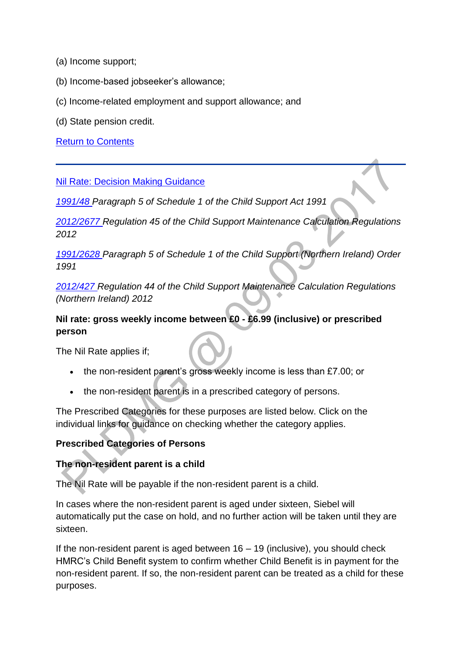- (a) Income support;
- (b) Income-based jobseeker's allowance;
- (c) Income-related employment and support allowance; and
- (d) State pension credit.

[Return to Contents](http://np-cmg-sharepoint.link2.gpn.gov.uk/sites/policy-law-and-decision-making-guidance/Pages/Calculations/General/Rates-and-Rules.aspx#OverviewContents)

#### [Nil Rate: Decision Making Guidance](http://np-cmg-sharepoint.link2.gpn.gov.uk/sites/policy-law-and-decision-making-guidance/Pages/Calculations/General/Rates-and-Rules.aspx)

*[1991/48 P](http://www.legislation.gov.uk/ukpga/1991/48)aragraph 5 of Schedule 1 of the Child Support Act 1991*

*[2012/2677 R](http://www.legislation.gov.uk/uksi/2012/2677)egulation 45 of the Child Support Maintenance Calculation Regulations 2012*

*[1991/2628 P](http://www.legislation.gov.uk/nisi/1991/2628/contents)aragraph 5 of Schedule 1 of the Child Support (Northern Ireland) Order 1991*

*[2012/427 R](http://www.legislation.gov.uk/nisr/2012/427/contents/made)egulation 44 of the Child Support Maintenance Calculation Regulations (Northern Ireland) 2012*

### **Nil rate: gross weekly income between £0 - £6.99 (inclusive) or prescribed person**

The Nil Rate applies if;

- the non-resident parent's gross weekly income is less than £7.00; or
- the non-resident parent is in a prescribed category of persons.

The Prescribed Categories for these purposes are listed below. Click on the individual links for guidance on checking whether the category applies.

#### **Prescribed Categories of Persons**

#### **The non-resident parent is a child**

The Nil Rate will be payable if the non-resident parent is a child.

In cases where the non-resident parent is aged under sixteen, Siebel will automatically put the case on hold, and no further action will be taken until they are sixteen.

If the non-resident parent is aged between  $16 - 19$  (inclusive), you should check HMRC's Child Benefit system to confirm whether Child Benefit is in payment for the non-resident parent. If so, the non-resident parent can be treated as a child for these purposes.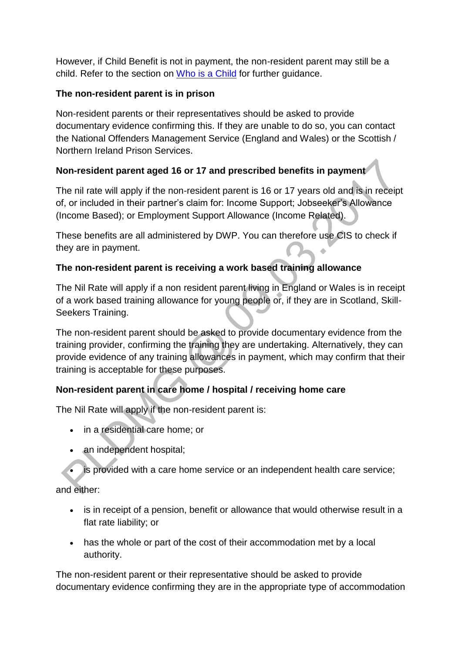However, if Child Benefit is not in payment, the non-resident parent may still be a child. Refer to the section on [Who is a Child](http://np-cmg-sharepoint.link2.gpn.gov.uk/sites/policy-law-and-decision-making-guidance/Pages/Applications/Applications.aspx) for further guidance.

### **The non-resident parent is in prison**

Non-resident parents or their representatives should be asked to provide documentary evidence confirming this. If they are unable to do so, you can contact the National Offenders Management Service (England and Wales) or the Scottish / Northern Ireland Prison Services.

# **Non-resident parent aged 16 or 17 and prescribed benefits in payment**

The nil rate will apply if the non-resident parent is 16 or 17 years old and is in receipt of, or included in their partner's claim for: Income Support; Jobseeker's Allowance (Income Based); or Employment Support Allowance (Income Related).

These benefits are all administered by DWP. You can therefore use CIS to check if they are in payment.  $\ddot{\phantom{a}}$ 

# **The non-resident parent is receiving a work based training allowance**

The Nil Rate will apply if a non resident parent living in England or Wales is in receipt of a work based training allowance for young people or, if they are in Scotland, Skill-Seekers Training.

The non-resident parent should be asked to provide documentary evidence from the training provider, confirming the training they are undertaking. Alternatively, they can provide evidence of any training allowances in payment, which may confirm that their training is acceptable for these purposes.

# **Non-resident parent in care home / hospital / receiving home care**

The Nil Rate will apply if the non-resident parent is:

- in a residential care home; or
- an independent hospital;
- is provided with a care home service or an independent health care service;

and either:

- is in receipt of a pension, benefit or allowance that would otherwise result in a flat rate liability; or
- has the whole or part of the cost of their accommodation met by a local authority.

The non-resident parent or their representative should be asked to provide documentary evidence confirming they are in the appropriate type of accommodation